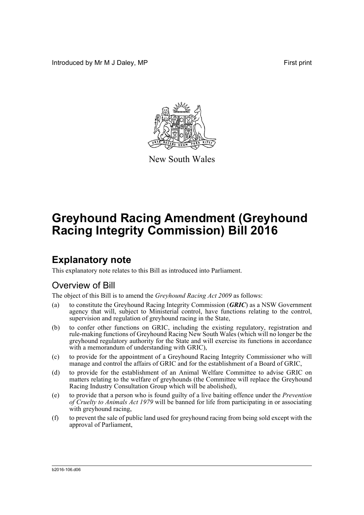Introduced by Mr M J Daley, MP **First** print



New South Wales

# **Greyhound Racing Amendment (Greyhound Racing Integrity Commission) Bill 2016**

## **Explanatory note**

This explanatory note relates to this Bill as introduced into Parliament.

#### Overview of Bill

The object of this Bill is to amend the *Greyhound Racing Act 2009* as follows:

- (a) to constitute the Greyhound Racing Integrity Commission (*GRIC*) as a NSW Government agency that will, subject to Ministerial control, have functions relating to the control, supervision and regulation of greyhound racing in the State,
- (b) to confer other functions on GRIC, including the existing regulatory, registration and rule-making functions of Greyhound Racing New South Wales (which will no longer be the greyhound regulatory authority for the State and will exercise its functions in accordance with a memorandum of understanding with GRIC),
- (c) to provide for the appointment of a Greyhound Racing Integrity Commissioner who will manage and control the affairs of GRIC and for the establishment of a Board of GRIC,
- (d) to provide for the establishment of an Animal Welfare Committee to advise GRIC on matters relating to the welfare of greyhounds (the Committee will replace the Greyhound Racing Industry Consultation Group which will be abolished),
- (e) to provide that a person who is found guilty of a live baiting offence under the *Prevention of Cruelty to Animals Act 1979* will be banned for life from participating in or associating with greyhound racing,
- (f) to prevent the sale of public land used for greyhound racing from being sold except with the approval of Parliament,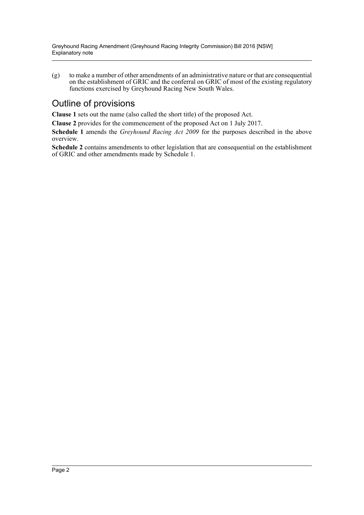(g) to make a number of other amendments of an administrative nature or that are consequential on the establishment of GRIC and the conferral on GRIC of most of the existing regulatory functions exercised by Greyhound Racing New South Wales.

### Outline of provisions

**Clause 1** sets out the name (also called the short title) of the proposed Act.

**Clause 2** provides for the commencement of the proposed Act on 1 July 2017.

**Schedule 1** amends the *Greyhound Racing Act 2009* for the purposes described in the above overview.

**Schedule 2** contains amendments to other legislation that are consequential on the establishment of GRIC and other amendments made by Schedule 1.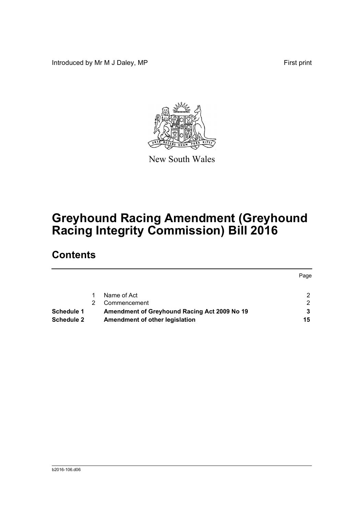Introduced by Mr M J Daley, MP **First** print



New South Wales

## **Greyhound Racing Amendment (Greyhound Racing Integrity Commission) Bill 2016**

## **Contents**

|            |                                              | Page           |
|------------|----------------------------------------------|----------------|
|            | Name of Act                                  | 2              |
|            | Commencement                                 | $\overline{2}$ |
| Schedule 1 | Amendment of Greyhound Racing Act 2009 No 19 |                |
| Schedule 2 | Amendment of other legislation               | 15             |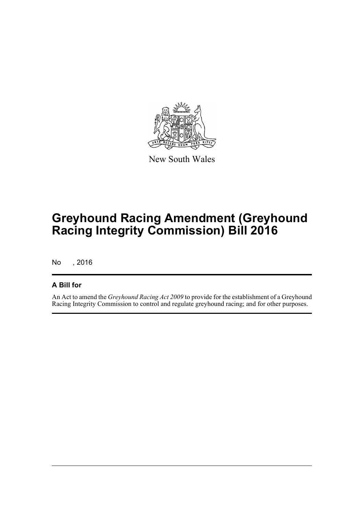

New South Wales

## **Greyhound Racing Amendment (Greyhound Racing Integrity Commission) Bill 2016**

No , 2016

#### **A Bill for**

An Act to amend the *Greyhound Racing Act 2009* to provide for the establishment of a Greyhound Racing Integrity Commission to control and regulate greyhound racing; and for other purposes.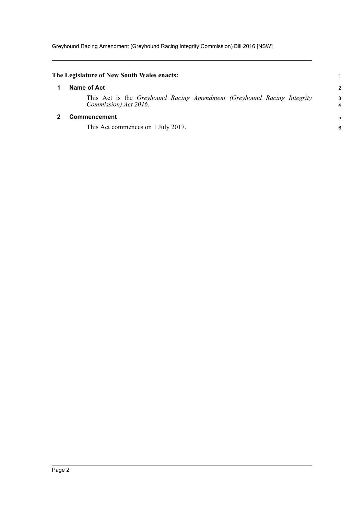Greyhound Racing Amendment (Greyhound Racing Integrity Commission) Bill 2016 [NSW]

<span id="page-4-1"></span><span id="page-4-0"></span>

| The Legislature of New South Wales enacts:                                                      |                |
|-------------------------------------------------------------------------------------------------|----------------|
| Name of Act                                                                                     | $\overline{c}$ |
| This Act is the Greyhound Racing Amendment (Greyhound Racing Integrity<br>Commission) Act 2016. | 3<br>4         |
| Commencement                                                                                    | 5              |
| This Act commences on 1 July 2017.                                                              | 6              |
|                                                                                                 |                |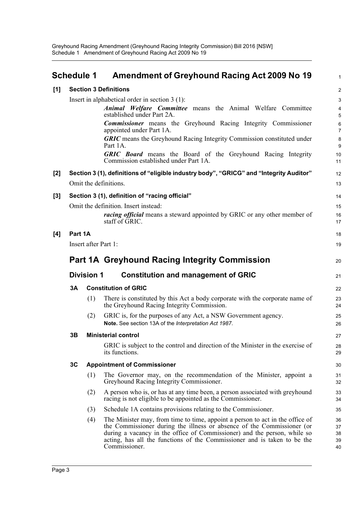<span id="page-5-0"></span>

|       | <b>Schedule 1</b>                                |                      | Amendment of Greyhound Racing Act 2009 No 19                                                                                                                                                                                                                                                                                     | $\mathbf{1}$               |  |
|-------|--------------------------------------------------|----------------------|----------------------------------------------------------------------------------------------------------------------------------------------------------------------------------------------------------------------------------------------------------------------------------------------------------------------------------|----------------------------|--|
| [1]   |                                                  |                      | <b>Section 3 Definitions</b>                                                                                                                                                                                                                                                                                                     | $\overline{2}$             |  |
|       | Insert in alphabetical order in section $3(1)$ : |                      |                                                                                                                                                                                                                                                                                                                                  |                            |  |
|       |                                                  |                      | Animal Welfare Committee means the Animal Welfare Committee<br>established under Part 2A.                                                                                                                                                                                                                                        | 3<br>4<br>5                |  |
|       |                                                  |                      | <b>Commissioner</b> means the Greyhound Racing Integrity Commissioner<br>appointed under Part 1A.                                                                                                                                                                                                                                | 6<br>$\overline{7}$        |  |
|       |                                                  |                      | <b>GRIC</b> means the Greyhound Racing Integrity Commission constituted under<br>Part 1A.                                                                                                                                                                                                                                        | 8<br>9                     |  |
|       |                                                  |                      | <b>GRIC Board</b> means the Board of the Greyhound Racing Integrity<br>Commission established under Part 1A.                                                                                                                                                                                                                     | 10<br>11                   |  |
| $[2]$ |                                                  |                      | Section 3 (1), definitions of "eligible industry body", "GRICG" and "Integrity Auditor"                                                                                                                                                                                                                                          | 12                         |  |
|       |                                                  |                      | Omit the definitions.                                                                                                                                                                                                                                                                                                            | 13                         |  |
| [3]   |                                                  |                      | Section 3 (1), definition of "racing official"                                                                                                                                                                                                                                                                                   | 14                         |  |
|       |                                                  |                      | Omit the definition. Insert instead:                                                                                                                                                                                                                                                                                             | 15                         |  |
|       |                                                  |                      | <i>racing official</i> means a steward appointed by GRIC or any other member of<br>staff of GRIC.                                                                                                                                                                                                                                | 16<br>17                   |  |
| [4]   | Part 1A                                          |                      |                                                                                                                                                                                                                                                                                                                                  | 18                         |  |
|       |                                                  | Insert after Part 1: |                                                                                                                                                                                                                                                                                                                                  | 19                         |  |
|       |                                                  |                      | <b>Part 1A Greyhound Racing Integrity Commission</b>                                                                                                                                                                                                                                                                             | 20                         |  |
|       |                                                  | <b>Division 1</b>    | <b>Constitution and management of GRIC</b>                                                                                                                                                                                                                                                                                       | 21                         |  |
|       | <b>3A</b>                                        |                      | <b>Constitution of GRIC</b>                                                                                                                                                                                                                                                                                                      | 22                         |  |
|       |                                                  | (1)                  | There is constituted by this Act a body corporate with the corporate name of<br>the Greyhound Racing Integrity Commission.                                                                                                                                                                                                       | 23<br>24                   |  |
|       |                                                  | (2)                  | GRIC is, for the purposes of any Act, a NSW Government agency.<br>Note. See section 13A of the Interpretation Act 1987.                                                                                                                                                                                                          | 25<br>26                   |  |
|       | 3Β                                               |                      | <b>Ministerial control</b>                                                                                                                                                                                                                                                                                                       | 27                         |  |
|       |                                                  |                      | GRIC is subject to the control and direction of the Minister in the exercise of<br>its functions.                                                                                                                                                                                                                                | 28<br>29                   |  |
|       | 3C                                               |                      | <b>Appointment of Commissioner</b>                                                                                                                                                                                                                                                                                               | 30                         |  |
|       |                                                  | (1)                  | The Governor may, on the recommendation of the Minister, appoint a<br>Greyhound Racing Integrity Commissioner.                                                                                                                                                                                                                   | 31<br>32                   |  |
|       |                                                  | (2)                  | A person who is, or has at any time been, a person associated with greyhound<br>racing is not eligible to be appointed as the Commissioner.                                                                                                                                                                                      | 33<br>34                   |  |
|       |                                                  | (3)                  | Schedule 1A contains provisions relating to the Commissioner.                                                                                                                                                                                                                                                                    | 35                         |  |
|       |                                                  | (4)                  | The Minister may, from time to time, appoint a person to act in the office of<br>the Commissioner during the illness or absence of the Commissioner (or<br>during a vacancy in the office of Commissioner) and the person, while so<br>acting, has all the functions of the Commissioner and is taken to be the<br>Commissioner. | 36<br>37<br>38<br>39<br>40 |  |

40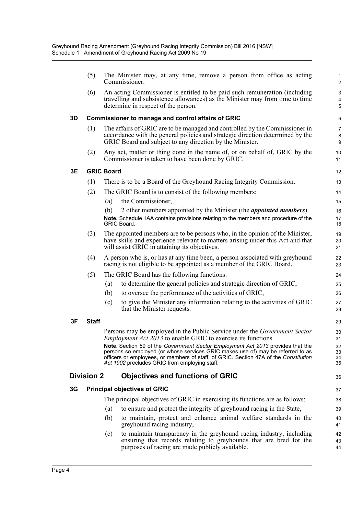|    | (5)               |                   | The Minister may, at any time, remove a person from office as acting<br>Commissioner.                                                                                                                                                                                                                       | $\mathbf{1}$<br>$\overline{2}$              |
|----|-------------------|-------------------|-------------------------------------------------------------------------------------------------------------------------------------------------------------------------------------------------------------------------------------------------------------------------------------------------------------|---------------------------------------------|
|    | (6)               |                   | An acting Commissioner is entitled to be paid such remuneration (including<br>travelling and subsistence allowances) as the Minister may from time to time<br>determine in respect of the person.                                                                                                           | $\mathsf 3$<br>$\overline{\mathbf{4}}$<br>5 |
| 3D |                   |                   | <b>Commissioner to manage and control affairs of GRIC</b>                                                                                                                                                                                                                                                   | 6                                           |
|    | (1)               |                   | The affairs of GRIC are to be managed and controlled by the Commissioner in<br>accordance with the general policies and strategic direction determined by the<br>GRIC Board and subject to any direction by the Minister.                                                                                   | $\overline{7}$<br>8<br>9                    |
|    | (2)               |                   | Any act, matter or thing done in the name of, or on behalf of, GRIC by the<br>Commissioner is taken to have been done by GRIC.                                                                                                                                                                              | 10<br>11                                    |
| 3E |                   | <b>GRIC Board</b> |                                                                                                                                                                                                                                                                                                             | 12                                          |
|    | (1)               |                   | There is to be a Board of the Greyhound Racing Integrity Commission.                                                                                                                                                                                                                                        | 13                                          |
|    | (2)               |                   | The GRIC Board is to consist of the following members:                                                                                                                                                                                                                                                      | 14                                          |
|    |                   | (a)               | the Commissioner,                                                                                                                                                                                                                                                                                           | 15                                          |
|    |                   | (b)               | 2 other members appointed by the Minister (the <i>appointed members</i> ).                                                                                                                                                                                                                                  | 16                                          |
|    |                   |                   | Note. Schedule 1AA contains provisions relating to the members and procedure of the<br>GRIC Board.                                                                                                                                                                                                          | 17<br>18                                    |
|    | (3)               |                   | The appointed members are to be persons who, in the opinion of the Minister,<br>have skills and experience relevant to matters arising under this Act and that<br>will assist GRIC in attaining its objectives.                                                                                             | 19<br>20<br>21                              |
|    | (4)               |                   | A person who is, or has at any time been, a person associated with greyhound<br>racing is not eligible to be appointed as a member of the GRIC Board.                                                                                                                                                       | 22<br>23                                    |
|    | (5)               |                   | The GRIC Board has the following functions:                                                                                                                                                                                                                                                                 | 24                                          |
|    |                   | (a)               | to determine the general policies and strategic direction of GRIC,                                                                                                                                                                                                                                          | 25                                          |
|    |                   | (b)               | to oversee the performance of the activities of GRIC,                                                                                                                                                                                                                                                       | 26                                          |
|    |                   | (c)               | to give the Minister any information relating to the activities of GRIC<br>that the Minister requests.                                                                                                                                                                                                      | 27<br>28                                    |
| 3F | <b>Staff</b>      |                   |                                                                                                                                                                                                                                                                                                             | 29                                          |
|    |                   |                   | Persons may be employed in the Public Service under the Government Sector<br><i>Employment Act 2013</i> to enable GRIC to exercise its functions.                                                                                                                                                           | 30<br>31                                    |
|    |                   |                   | Note. Section 59 of the Government Sector Employment Act 2013 provides that the<br>persons so employed (or whose services GRIC makes use of) may be referred to as<br>officers or employees, or members of staff, of GRIC. Section 47A of the Constitution<br>Act 1902 precludes GRIC from employing staff. | 32<br>33<br>34<br>35                        |
|    | <b>Division 2</b> |                   | <b>Objectives and functions of GRIC</b>                                                                                                                                                                                                                                                                     | 36                                          |
| 3G |                   |                   | <b>Principal objectives of GRIC</b>                                                                                                                                                                                                                                                                         | 37                                          |
|    |                   |                   | The principal objectives of GRIC in exercising its functions are as follows:                                                                                                                                                                                                                                | 38                                          |
|    |                   | (a)               | to ensure and protect the integrity of greyhound racing in the State,                                                                                                                                                                                                                                       | 39                                          |
|    |                   | (b)               | to maintain, protect and enhance animal welfare standards in the<br>greyhound racing industry,                                                                                                                                                                                                              | 40<br>41                                    |
|    |                   | (c)               | to maintain transparency in the greyhound racing industry, including<br>ensuring that records relating to greyhounds that are bred for the<br>purposes of racing are made publicly available.                                                                                                               | 42<br>43<br>44                              |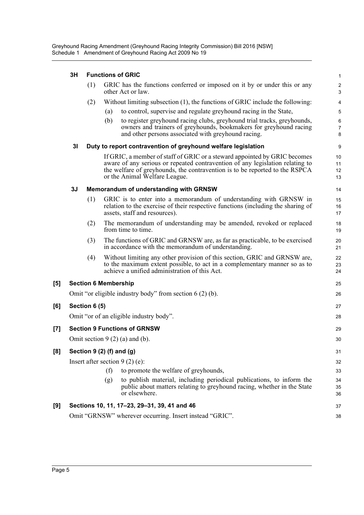#### **3H Functions of GRIC**

| 3H             |     |                                                                                                                                                                                                                                                                            | $\mathbf{1}$                                                                                                                                                                                                                                                                                                                                                                                                                                                                                                                                       |
|----------------|-----|----------------------------------------------------------------------------------------------------------------------------------------------------------------------------------------------------------------------------------------------------------------------------|----------------------------------------------------------------------------------------------------------------------------------------------------------------------------------------------------------------------------------------------------------------------------------------------------------------------------------------------------------------------------------------------------------------------------------------------------------------------------------------------------------------------------------------------------|
|                | (1) | GRIC has the functions conferred or imposed on it by or under this or any<br>other Act or law.                                                                                                                                                                             | $\sqrt{2}$<br>3                                                                                                                                                                                                                                                                                                                                                                                                                                                                                                                                    |
|                | (2) | Without limiting subsection (1), the functions of GRIC include the following:                                                                                                                                                                                              | $\overline{4}$                                                                                                                                                                                                                                                                                                                                                                                                                                                                                                                                     |
|                |     | to control, supervise and regulate greyhound racing in the State,<br>(a)                                                                                                                                                                                                   | 5                                                                                                                                                                                                                                                                                                                                                                                                                                                                                                                                                  |
|                |     | to register greyhound racing clubs, greyhound trial tracks, greyhounds,<br>(b)<br>owners and trainers of greyhounds, bookmakers for greyhound racing<br>and other persons associated with greyhound racing.                                                                | $\,6$<br>$\overline{7}$<br>8                                                                                                                                                                                                                                                                                                                                                                                                                                                                                                                       |
| 3 <sub>l</sub> |     |                                                                                                                                                                                                                                                                            | 9                                                                                                                                                                                                                                                                                                                                                                                                                                                                                                                                                  |
|                |     | If GRIC, a member of staff of GRIC or a steward appointed by GRIC becomes<br>aware of any serious or repeated contravention of any legislation relating to<br>the welfare of greyhounds, the contravention is to be reported to the RSPCA<br>or the Animal Welfare League. | 10<br>11<br>12<br>13                                                                                                                                                                                                                                                                                                                                                                                                                                                                                                                               |
| 3J             |     |                                                                                                                                                                                                                                                                            | 14                                                                                                                                                                                                                                                                                                                                                                                                                                                                                                                                                 |
|                | (1) | GRIC is to enter into a memorandum of understanding with GRNSW in<br>relation to the exercise of their respective functions (including the sharing of<br>assets, staff and resources).                                                                                     | 15<br>16<br>17                                                                                                                                                                                                                                                                                                                                                                                                                                                                                                                                     |
|                | (2) | The memorandum of understanding may be amended, revoked or replaced<br>from time to time.                                                                                                                                                                                  | 18<br>19                                                                                                                                                                                                                                                                                                                                                                                                                                                                                                                                           |
|                | (3) | The functions of GRIC and GRNSW are, as far as practicable, to be exercised<br>in accordance with the memorandum of understanding.                                                                                                                                         | 20<br>21                                                                                                                                                                                                                                                                                                                                                                                                                                                                                                                                           |
|                | (4) | Without limiting any other provision of this section, GRIC and GRNSW are,<br>to the maximum extent possible, to act in a complementary manner so as to<br>achieve a unified administration of this Act.                                                                    | 22<br>23<br>24                                                                                                                                                                                                                                                                                                                                                                                                                                                                                                                                     |
|                |     |                                                                                                                                                                                                                                                                            | 25                                                                                                                                                                                                                                                                                                                                                                                                                                                                                                                                                 |
|                |     |                                                                                                                                                                                                                                                                            | 26                                                                                                                                                                                                                                                                                                                                                                                                                                                                                                                                                 |
|                |     |                                                                                                                                                                                                                                                                            | 27                                                                                                                                                                                                                                                                                                                                                                                                                                                                                                                                                 |
|                |     |                                                                                                                                                                                                                                                                            | 28                                                                                                                                                                                                                                                                                                                                                                                                                                                                                                                                                 |
|                |     |                                                                                                                                                                                                                                                                            | 29                                                                                                                                                                                                                                                                                                                                                                                                                                                                                                                                                 |
|                |     |                                                                                                                                                                                                                                                                            | 30                                                                                                                                                                                                                                                                                                                                                                                                                                                                                                                                                 |
|                |     |                                                                                                                                                                                                                                                                            | 31                                                                                                                                                                                                                                                                                                                                                                                                                                                                                                                                                 |
|                |     |                                                                                                                                                                                                                                                                            | 32                                                                                                                                                                                                                                                                                                                                                                                                                                                                                                                                                 |
|                |     | to promote the welfare of greyhounds,<br>(f)                                                                                                                                                                                                                               | 33                                                                                                                                                                                                                                                                                                                                                                                                                                                                                                                                                 |
|                |     | to publish material, including periodical publications, to inform the<br>(g)<br>public about matters relating to greyhound racing, whether in the State<br>or elsewhere.                                                                                                   | 34<br>35<br>36                                                                                                                                                                                                                                                                                                                                                                                                                                                                                                                                     |
|                |     |                                                                                                                                                                                                                                                                            | 37                                                                                                                                                                                                                                                                                                                                                                                                                                                                                                                                                 |
|                |     |                                                                                                                                                                                                                                                                            | 38                                                                                                                                                                                                                                                                                                                                                                                                                                                                                                                                                 |
|                |     |                                                                                                                                                                                                                                                                            | <b>Functions of GRIC</b><br>Duty to report contravention of greyhound welfare legislation<br>Memorandum of understanding with GRNSW<br><b>Section 6 Membership</b><br>Omit "or eligible industry body" from section $6(2)(b)$ .<br>Section 6 (5)<br>Omit "or of an eligible industry body".<br><b>Section 9 Functions of GRNSW</b><br>Omit section $9(2)(a)$ and (b).<br>Section $9(2)$ (f) and (g)<br>Insert after section $9(2)$ (e):<br>Sections 10, 11, 17-23, 29-31, 39, 41 and 46<br>Omit "GRNSW" wherever occurring. Insert instead "GRIC". |

 $[5]$ 

**[6]** 

 $[8]$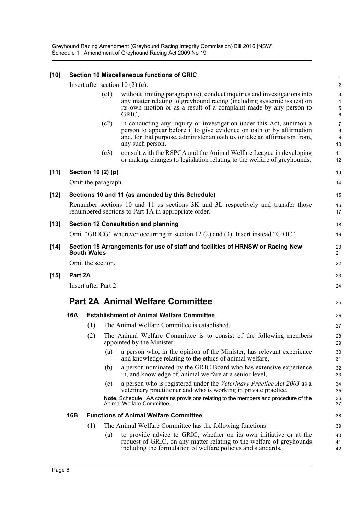Greyhound Racing Amendment (Greyhound Racing Integrity Commission) Bill 2016 [NSW] Schedule 1 Amendment of Greyhound Racing Act 2009 No 19

| $[10]$ |         |                      |      | Section 10 Miscellaneous functions of GRIC                                                                                                                                                                                                     | 1                                      |
|--------|---------|----------------------|------|------------------------------------------------------------------------------------------------------------------------------------------------------------------------------------------------------------------------------------------------|----------------------------------------|
|        |         |                      |      | Insert after section 10 $(2)$ (c):                                                                                                                                                                                                             | $\overline{c}$                         |
|        |         |                      | (c1) | without limiting paragraph (c), conduct inquiries and investigations into<br>any matter relating to greyhound racing (including systemic issues) on<br>its own motion or as a result of a complaint made by any person to<br>GRIC,             | 3<br>$\overline{\mathbf{4}}$<br>5<br>6 |
|        |         |                      | (c2) | in conducting any inquiry or investigation under this Act, summon a<br>person to appear before it to give evidence on oath or by affirmation<br>and, for that purpose, administer an oath to, or take an affirmation from,<br>any such person, | 7<br>8<br>$\boldsymbol{9}$<br>10       |
|        |         |                      | (c3) | consult with the RSPCA and the Animal Welfare League in developing<br>or making changes to legislation relating to the welfare of greyhounds,                                                                                                  | 11<br>12                               |
| $[11]$ |         | Section 10 (2) (p)   |      |                                                                                                                                                                                                                                                | 13                                     |
|        |         | Omit the paragraph.  |      |                                                                                                                                                                                                                                                | 14                                     |
| $[12]$ |         |                      |      | Sections 10 and 11 (as amended by this Schedule)                                                                                                                                                                                               | 15                                     |
|        |         |                      |      | Renumber sections 10 and 11 as sections 3K and 3L respectively and transfer those<br>renumbered sections to Part 1A in appropriate order.                                                                                                      | 16<br>17                               |
| $[13]$ |         |                      |      | <b>Section 12 Consultation and planning</b>                                                                                                                                                                                                    | 18                                     |
|        |         |                      |      | Omit "GRICG" wherever occurring in section 12 (2) and (3). Insert instead "GRIC".                                                                                                                                                              | 19                                     |
| $[14]$ |         | <b>South Wales</b>   |      | Section 15 Arrangements for use of staff and facilities of HRNSW or Racing New                                                                                                                                                                 | 20<br>21                               |
|        |         | Omit the section.    |      |                                                                                                                                                                                                                                                | 22                                     |
| $[15]$ | Part 2A |                      |      |                                                                                                                                                                                                                                                | 23                                     |
|        |         | Insert after Part 2: |      |                                                                                                                                                                                                                                                | 24                                     |
|        |         |                      |      | <b>Part 2A Animal Welfare Committee</b>                                                                                                                                                                                                        | 25                                     |
|        | 16A     |                      |      | <b>Establishment of Animal Welfare Committee</b>                                                                                                                                                                                               | 26                                     |
|        |         | (1)                  |      | The Animal Welfare Committee is established.                                                                                                                                                                                                   | 27                                     |
|        |         | (2)                  |      | The Animal Welfare Committee is to consist of the following members<br>appointed by the Minister:                                                                                                                                              | 28<br>29                               |
|        |         |                      | (a)  | a person who, in the opinion of the Minister, has relevant experience<br>and knowledge relating to the ethics of animal welfare,                                                                                                               | 30<br>31                               |
|        |         |                      | (b)  | a person nominated by the GRIC Board who has extensive experience<br>in, and knowledge of, animal welfare at a senior level,                                                                                                                   | 32<br>33                               |
|        |         |                      | (c)  | a person who is registered under the Veterinary Practice Act 2003 as a<br>veterinary practitioner and who is working in private practice.                                                                                                      | 34<br>35                               |
|        |         |                      |      | Note. Schedule 1AA contains provisions relating to the members and procedure of the<br>Animal Welfare Committee.                                                                                                                               | 36<br>37                               |
|        | 16B     |                      |      | <b>Functions of Animal Welfare Committee</b>                                                                                                                                                                                                   | 38                                     |
|        |         | (1)                  |      | The Animal Welfare Committee has the following functions:                                                                                                                                                                                      | 39                                     |
|        |         |                      | (a)  | to provide advice to GRIC, whether on its own initiative or at the<br>request of GRIC, on any matter relating to the welfare of greyhounds<br>including the formulation of welfare policies and standards,                                     | 40<br>41<br>42                         |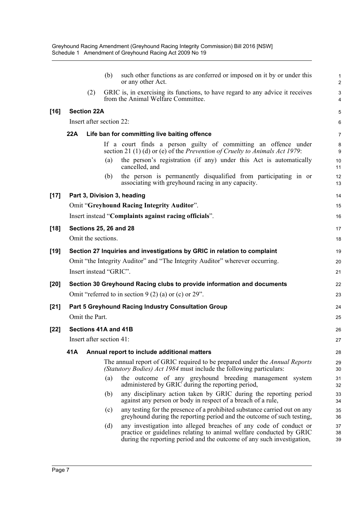| GRIC is, in exercising its functions, to have regard to any advice it receives<br>(2)<br>from the Animal Welfare Committee.<br>[16]<br><b>Section 22A</b><br>Insert after section 22:<br>22A<br>Life ban for committing live baiting offence<br>If a court finds a person guilty of committing an offence under<br>section 21 (1) (d) or (e) of the Prevention of Cruelty to Animals Act 1979:<br>the person's registration (if any) under this Act is automatically<br>(a)<br>cancelled, and<br>the person is permanently disqualified from participating in or<br>(b)<br>associating with greyhound racing in any capacity.<br>$[17]$<br>Part 3, Division 3, heading<br>Omit "Greyhound Racing Integrity Auditor".<br>Insert instead "Complaints against racing officials".<br>[18]<br><b>Sections 25, 26 and 28</b><br>Omit the sections.<br>[19]<br>Section 27 Inquiries and investigations by GRIC in relation to complaint<br>Omit "the Integrity Auditor" and "The Integrity Auditor" wherever occurring.<br>Insert instead "GRIC".<br>[20]<br>Section 30 Greyhound Racing clubs to provide information and documents<br>Omit "referred to in section $9(2)$ (a) or (c) or 29".<br>Part 5 Greyhound Racing Industry Consultation Group<br>[21]<br>Omit the Part.<br>[22]<br>Sections 41A and 41B<br>Insert after section 41:<br>41A<br>Annual report to include additional matters<br>The annual report of GRIC required to be prepared under the <i>Annual Reports</i><br>(Statutory Bodies) Act 1984 must include the following particulars:<br>the outcome of any greyhound breeding management system<br>(a)<br>administered by GRIC during the reporting period,<br>any disciplinary action taken by GRIC during the reporting period<br>(b)<br>against any person or body in respect of a breach of a rule,<br>any testing for the presence of a prohibited substance carried out on any<br>(c)<br>greyhound during the reporting period and the outcome of such testing,<br>any investigation into alleged breaches of any code of conduct or<br>(d)<br>practice or guidelines relating to animal welfare conducted by GRIC<br>during the reporting period and the outcome of any such investigation, |  | (b) | such other functions as are conferred or imposed on it by or under this<br>or any other Act. | 1<br>2                |
|---------------------------------------------------------------------------------------------------------------------------------------------------------------------------------------------------------------------------------------------------------------------------------------------------------------------------------------------------------------------------------------------------------------------------------------------------------------------------------------------------------------------------------------------------------------------------------------------------------------------------------------------------------------------------------------------------------------------------------------------------------------------------------------------------------------------------------------------------------------------------------------------------------------------------------------------------------------------------------------------------------------------------------------------------------------------------------------------------------------------------------------------------------------------------------------------------------------------------------------------------------------------------------------------------------------------------------------------------------------------------------------------------------------------------------------------------------------------------------------------------------------------------------------------------------------------------------------------------------------------------------------------------------------------------------------------------------------------------------------------------------------------------------------------------------------------------------------------------------------------------------------------------------------------------------------------------------------------------------------------------------------------------------------------------------------------------------------------------------------------------------------------------------------------------------------------------------------------|--|-----|----------------------------------------------------------------------------------------------|-----------------------|
|                                                                                                                                                                                                                                                                                                                                                                                                                                                                                                                                                                                                                                                                                                                                                                                                                                                                                                                                                                                                                                                                                                                                                                                                                                                                                                                                                                                                                                                                                                                                                                                                                                                                                                                                                                                                                                                                                                                                                                                                                                                                                                                                                                                                                     |  |     |                                                                                              | $\mathsf 3$<br>4      |
|                                                                                                                                                                                                                                                                                                                                                                                                                                                                                                                                                                                                                                                                                                                                                                                                                                                                                                                                                                                                                                                                                                                                                                                                                                                                                                                                                                                                                                                                                                                                                                                                                                                                                                                                                                                                                                                                                                                                                                                                                                                                                                                                                                                                                     |  |     |                                                                                              | 5                     |
|                                                                                                                                                                                                                                                                                                                                                                                                                                                                                                                                                                                                                                                                                                                                                                                                                                                                                                                                                                                                                                                                                                                                                                                                                                                                                                                                                                                                                                                                                                                                                                                                                                                                                                                                                                                                                                                                                                                                                                                                                                                                                                                                                                                                                     |  |     |                                                                                              | 6                     |
|                                                                                                                                                                                                                                                                                                                                                                                                                                                                                                                                                                                                                                                                                                                                                                                                                                                                                                                                                                                                                                                                                                                                                                                                                                                                                                                                                                                                                                                                                                                                                                                                                                                                                                                                                                                                                                                                                                                                                                                                                                                                                                                                                                                                                     |  |     |                                                                                              | 7                     |
|                                                                                                                                                                                                                                                                                                                                                                                                                                                                                                                                                                                                                                                                                                                                                                                                                                                                                                                                                                                                                                                                                                                                                                                                                                                                                                                                                                                                                                                                                                                                                                                                                                                                                                                                                                                                                                                                                                                                                                                                                                                                                                                                                                                                                     |  |     |                                                                                              | 8<br>$\boldsymbol{9}$ |
|                                                                                                                                                                                                                                                                                                                                                                                                                                                                                                                                                                                                                                                                                                                                                                                                                                                                                                                                                                                                                                                                                                                                                                                                                                                                                                                                                                                                                                                                                                                                                                                                                                                                                                                                                                                                                                                                                                                                                                                                                                                                                                                                                                                                                     |  |     |                                                                                              | 10<br>11              |
|                                                                                                                                                                                                                                                                                                                                                                                                                                                                                                                                                                                                                                                                                                                                                                                                                                                                                                                                                                                                                                                                                                                                                                                                                                                                                                                                                                                                                                                                                                                                                                                                                                                                                                                                                                                                                                                                                                                                                                                                                                                                                                                                                                                                                     |  |     |                                                                                              | 12<br>13              |
|                                                                                                                                                                                                                                                                                                                                                                                                                                                                                                                                                                                                                                                                                                                                                                                                                                                                                                                                                                                                                                                                                                                                                                                                                                                                                                                                                                                                                                                                                                                                                                                                                                                                                                                                                                                                                                                                                                                                                                                                                                                                                                                                                                                                                     |  |     |                                                                                              | 14                    |
|                                                                                                                                                                                                                                                                                                                                                                                                                                                                                                                                                                                                                                                                                                                                                                                                                                                                                                                                                                                                                                                                                                                                                                                                                                                                                                                                                                                                                                                                                                                                                                                                                                                                                                                                                                                                                                                                                                                                                                                                                                                                                                                                                                                                                     |  |     |                                                                                              | 15                    |
|                                                                                                                                                                                                                                                                                                                                                                                                                                                                                                                                                                                                                                                                                                                                                                                                                                                                                                                                                                                                                                                                                                                                                                                                                                                                                                                                                                                                                                                                                                                                                                                                                                                                                                                                                                                                                                                                                                                                                                                                                                                                                                                                                                                                                     |  |     |                                                                                              | 16                    |
|                                                                                                                                                                                                                                                                                                                                                                                                                                                                                                                                                                                                                                                                                                                                                                                                                                                                                                                                                                                                                                                                                                                                                                                                                                                                                                                                                                                                                                                                                                                                                                                                                                                                                                                                                                                                                                                                                                                                                                                                                                                                                                                                                                                                                     |  |     |                                                                                              | 17                    |
|                                                                                                                                                                                                                                                                                                                                                                                                                                                                                                                                                                                                                                                                                                                                                                                                                                                                                                                                                                                                                                                                                                                                                                                                                                                                                                                                                                                                                                                                                                                                                                                                                                                                                                                                                                                                                                                                                                                                                                                                                                                                                                                                                                                                                     |  |     |                                                                                              | 18                    |
|                                                                                                                                                                                                                                                                                                                                                                                                                                                                                                                                                                                                                                                                                                                                                                                                                                                                                                                                                                                                                                                                                                                                                                                                                                                                                                                                                                                                                                                                                                                                                                                                                                                                                                                                                                                                                                                                                                                                                                                                                                                                                                                                                                                                                     |  |     |                                                                                              | 19                    |
|                                                                                                                                                                                                                                                                                                                                                                                                                                                                                                                                                                                                                                                                                                                                                                                                                                                                                                                                                                                                                                                                                                                                                                                                                                                                                                                                                                                                                                                                                                                                                                                                                                                                                                                                                                                                                                                                                                                                                                                                                                                                                                                                                                                                                     |  |     |                                                                                              | 20                    |
|                                                                                                                                                                                                                                                                                                                                                                                                                                                                                                                                                                                                                                                                                                                                                                                                                                                                                                                                                                                                                                                                                                                                                                                                                                                                                                                                                                                                                                                                                                                                                                                                                                                                                                                                                                                                                                                                                                                                                                                                                                                                                                                                                                                                                     |  |     |                                                                                              | 21                    |
|                                                                                                                                                                                                                                                                                                                                                                                                                                                                                                                                                                                                                                                                                                                                                                                                                                                                                                                                                                                                                                                                                                                                                                                                                                                                                                                                                                                                                                                                                                                                                                                                                                                                                                                                                                                                                                                                                                                                                                                                                                                                                                                                                                                                                     |  |     |                                                                                              | 22                    |
|                                                                                                                                                                                                                                                                                                                                                                                                                                                                                                                                                                                                                                                                                                                                                                                                                                                                                                                                                                                                                                                                                                                                                                                                                                                                                                                                                                                                                                                                                                                                                                                                                                                                                                                                                                                                                                                                                                                                                                                                                                                                                                                                                                                                                     |  |     |                                                                                              | 23                    |
|                                                                                                                                                                                                                                                                                                                                                                                                                                                                                                                                                                                                                                                                                                                                                                                                                                                                                                                                                                                                                                                                                                                                                                                                                                                                                                                                                                                                                                                                                                                                                                                                                                                                                                                                                                                                                                                                                                                                                                                                                                                                                                                                                                                                                     |  |     |                                                                                              | 24                    |
|                                                                                                                                                                                                                                                                                                                                                                                                                                                                                                                                                                                                                                                                                                                                                                                                                                                                                                                                                                                                                                                                                                                                                                                                                                                                                                                                                                                                                                                                                                                                                                                                                                                                                                                                                                                                                                                                                                                                                                                                                                                                                                                                                                                                                     |  |     |                                                                                              | 25                    |
|                                                                                                                                                                                                                                                                                                                                                                                                                                                                                                                                                                                                                                                                                                                                                                                                                                                                                                                                                                                                                                                                                                                                                                                                                                                                                                                                                                                                                                                                                                                                                                                                                                                                                                                                                                                                                                                                                                                                                                                                                                                                                                                                                                                                                     |  |     |                                                                                              | 26                    |
|                                                                                                                                                                                                                                                                                                                                                                                                                                                                                                                                                                                                                                                                                                                                                                                                                                                                                                                                                                                                                                                                                                                                                                                                                                                                                                                                                                                                                                                                                                                                                                                                                                                                                                                                                                                                                                                                                                                                                                                                                                                                                                                                                                                                                     |  |     |                                                                                              | 27                    |
|                                                                                                                                                                                                                                                                                                                                                                                                                                                                                                                                                                                                                                                                                                                                                                                                                                                                                                                                                                                                                                                                                                                                                                                                                                                                                                                                                                                                                                                                                                                                                                                                                                                                                                                                                                                                                                                                                                                                                                                                                                                                                                                                                                                                                     |  |     |                                                                                              | 28                    |
|                                                                                                                                                                                                                                                                                                                                                                                                                                                                                                                                                                                                                                                                                                                                                                                                                                                                                                                                                                                                                                                                                                                                                                                                                                                                                                                                                                                                                                                                                                                                                                                                                                                                                                                                                                                                                                                                                                                                                                                                                                                                                                                                                                                                                     |  |     |                                                                                              | 29<br>30              |
|                                                                                                                                                                                                                                                                                                                                                                                                                                                                                                                                                                                                                                                                                                                                                                                                                                                                                                                                                                                                                                                                                                                                                                                                                                                                                                                                                                                                                                                                                                                                                                                                                                                                                                                                                                                                                                                                                                                                                                                                                                                                                                                                                                                                                     |  |     |                                                                                              | 31<br>32              |
|                                                                                                                                                                                                                                                                                                                                                                                                                                                                                                                                                                                                                                                                                                                                                                                                                                                                                                                                                                                                                                                                                                                                                                                                                                                                                                                                                                                                                                                                                                                                                                                                                                                                                                                                                                                                                                                                                                                                                                                                                                                                                                                                                                                                                     |  |     |                                                                                              | 33<br>34              |
|                                                                                                                                                                                                                                                                                                                                                                                                                                                                                                                                                                                                                                                                                                                                                                                                                                                                                                                                                                                                                                                                                                                                                                                                                                                                                                                                                                                                                                                                                                                                                                                                                                                                                                                                                                                                                                                                                                                                                                                                                                                                                                                                                                                                                     |  |     |                                                                                              | 35<br>36              |
|                                                                                                                                                                                                                                                                                                                                                                                                                                                                                                                                                                                                                                                                                                                                                                                                                                                                                                                                                                                                                                                                                                                                                                                                                                                                                                                                                                                                                                                                                                                                                                                                                                                                                                                                                                                                                                                                                                                                                                                                                                                                                                                                                                                                                     |  |     |                                                                                              | 37<br>38<br>39        |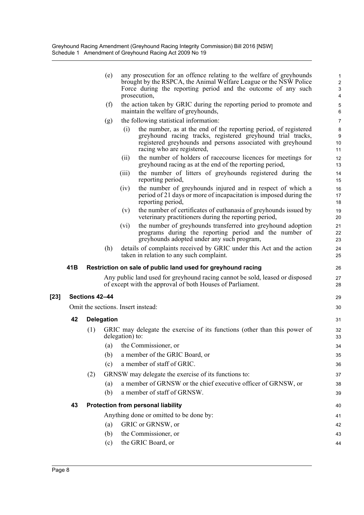|        |     |                | (e)               |                                    | any prosecution for an offence relating to the welfare of greyhounds<br>brought by the RSPCA, the Animal Welfare League or the NSW Police                            | $\mathbf{1}$<br>$\overline{2}$ |
|--------|-----|----------------|-------------------|------------------------------------|----------------------------------------------------------------------------------------------------------------------------------------------------------------------|--------------------------------|
|        |     |                |                   | prosecution,                       | Force during the reporting period and the outcome of any such                                                                                                        | 3<br>4                         |
|        |     |                | (f)               |                                    | the action taken by GRIC during the reporting period to promote and<br>maintain the welfare of greyhounds,                                                           | 5<br>6                         |
|        |     |                | (g)               |                                    | the following statistical information:                                                                                                                               | 7                              |
|        |     |                |                   | (i)                                | the number, as at the end of the reporting period, of registered                                                                                                     | $\bf 8$                        |
|        |     |                |                   |                                    | greyhound racing tracks, registered greyhound trial tracks,<br>registered greyhounds and persons associated with greyhound<br>racing who are registered,             | 9<br>10<br>11                  |
|        |     |                |                   | (ii)                               | the number of holders of racecourse licences for meetings for<br>greyhound racing as at the end of the reporting period,                                             | 12<br>13                       |
|        |     |                |                   | (iii)                              | the number of litters of greyhounds registered during the<br>reporting period,                                                                                       | 14<br>15                       |
|        |     |                |                   | (iv)                               | the number of greyhounds injured and in respect of which a<br>period of 21 days or more of incapacitation is imposed during the<br>reporting period,                 | 16<br>17<br>18                 |
|        |     |                |                   | (v)                                | the number of certificates of euthanasia of greyhounds issued by<br>veterinary practitioners during the reporting period,                                            | 19<br>20                       |
|        |     |                |                   | (vi)                               | the number of greyhounds transferred into greyhound adoption<br>programs during the reporting period and the number of<br>greyhounds adopted under any such program, | 21<br>22<br>23                 |
|        |     |                | (h)               |                                    | details of complaints received by GRIC under this Act and the action<br>taken in relation to any such complaint.                                                     | 24<br>25                       |
|        | 41B |                |                   |                                    | Restriction on sale of public land used for greyhound racing                                                                                                         | 26                             |
|        |     |                |                   |                                    | Any public land used for greyhound racing cannot be sold, leased or disposed<br>of except with the approval of both Houses of Parliament.                            | 27<br>28                       |
| $[23]$ |     | Sections 42-44 |                   |                                    |                                                                                                                                                                      | 29                             |
|        |     |                |                   | Omit the sections. Insert instead: |                                                                                                                                                                      | 30                             |
|        | 42  |                | <b>Delegation</b> |                                    |                                                                                                                                                                      | 31                             |
|        |     | (1)            |                   | delegation) to:                    | GRIC may delegate the exercise of its functions (other than this power of                                                                                            | 32<br>33                       |
|        |     |                | (a)               |                                    | the Commissioner, or                                                                                                                                                 | 34                             |
|        |     |                | (b)               |                                    | a member of the GRIC Board, or                                                                                                                                       | 35                             |
|        |     |                | (c)               |                                    | a member of staff of GRIC.                                                                                                                                           | 36                             |
|        |     | (2)            |                   |                                    | GRNSW may delegate the exercise of its functions to:                                                                                                                 | 37                             |
|        |     |                | (a)               |                                    | a member of GRNSW or the chief executive officer of GRNSW, or                                                                                                        | 38                             |
|        |     |                | (b)               |                                    | a member of staff of GRNSW.                                                                                                                                          | 39                             |
|        | 43  |                |                   |                                    | <b>Protection from personal liability</b>                                                                                                                            | 40                             |
|        |     |                |                   |                                    | Anything done or omitted to be done by:                                                                                                                              | 41                             |
|        |     |                | (a)               |                                    | GRIC or GRNSW, or                                                                                                                                                    | 42                             |
|        |     |                | (b)               |                                    | the Commissioner, or                                                                                                                                                 | 43                             |
|        |     |                | (c)               |                                    | the GRIC Board, or                                                                                                                                                   | 44                             |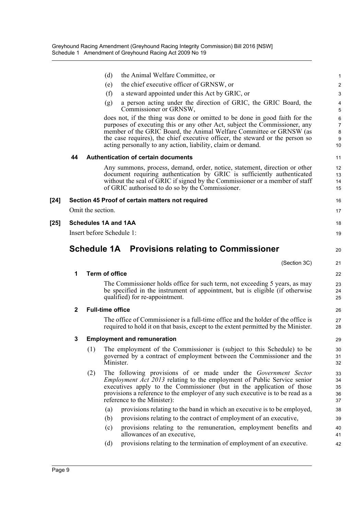|        |              |                   | (d)<br>the Animal Welfare Committee, or                                                                                                                                                                                                                                                  | 1                       |
|--------|--------------|-------------------|------------------------------------------------------------------------------------------------------------------------------------------------------------------------------------------------------------------------------------------------------------------------------------------|-------------------------|
|        |              |                   | the chief executive officer of GRNSW, or<br>(e)                                                                                                                                                                                                                                          | $\overline{\mathbf{c}}$ |
|        |              |                   | (f)<br>a steward appointed under this Act by GRIC, or                                                                                                                                                                                                                                    | 3                       |
|        |              |                   | a person acting under the direction of GRIC, the GRIC Board, the<br>(g)<br>Commissioner or GRNSW,                                                                                                                                                                                        | 4<br>5                  |
|        |              |                   | does not, if the thing was done or omitted to be done in good faith for the                                                                                                                                                                                                              | 6                       |
|        |              |                   | purposes of executing this or any other Act, subject the Commissioner, any<br>member of the GRIC Board, the Animal Welfare Committee or GRNSW (as                                                                                                                                        | 7<br>8                  |
|        |              |                   | the case requires), the chief executive officer, the steward or the person so<br>acting personally to any action, liability, claim or demand.                                                                                                                                            | 9<br>10                 |
|        | 44           |                   | <b>Authentication of certain documents</b>                                                                                                                                                                                                                                               | 11                      |
|        |              |                   | Any summons, process, demand, order, notice, statement, direction or other<br>document requiring authentication by GRIC is sufficiently authenticated<br>without the seal of GRIC if signed by the Commissioner or a member of staff<br>of GRIC authorised to do so by the Commissioner. | 12<br>13<br>14<br>15    |
| [24]   |              |                   | Section 45 Proof of certain matters not required                                                                                                                                                                                                                                         | 16                      |
|        |              | Omit the section. |                                                                                                                                                                                                                                                                                          | 17                      |
| $[25]$ |              |                   | <b>Schedules 1A and 1AA</b>                                                                                                                                                                                                                                                              | 18                      |
|        |              |                   | Insert before Schedule 1:                                                                                                                                                                                                                                                                | 19                      |
|        |              |                   |                                                                                                                                                                                                                                                                                          |                         |
|        |              |                   | <b>Schedule 1A</b> Provisions relating to Commissioner                                                                                                                                                                                                                                   | 20                      |
|        |              |                   | (Section 3C)                                                                                                                                                                                                                                                                             | 21                      |
|        | 1            |                   | <b>Term of office</b>                                                                                                                                                                                                                                                                    | 22                      |
|        |              |                   | The Commissioner holds office for such term, not exceeding 5 years, as may<br>be specified in the instrument of appointment, but is eligible (if otherwise<br>qualified) for re-appointment.                                                                                             | 23<br>24<br>25          |
|        | $\mathbf{2}$ |                   | <b>Full-time office</b>                                                                                                                                                                                                                                                                  | 26                      |
|        |              |                   | The office of Commissioner is a full-time office and the holder of the office is<br>required to hold it on that basis, except to the extent permitted by the Minister.                                                                                                                   | 27<br>28                |
|        | 3            |                   | <b>Employment and remuneration</b>                                                                                                                                                                                                                                                       | 29                      |
|        |              | (1)               | The employment of the Commissioner is (subject to this Schedule) to be<br>governed by a contract of employment between the Commissioner and the<br>Minister.                                                                                                                             | 30<br>31<br>32          |
|        |              | (2)               | The following provisions of or made under the <i>Government Sector</i>                                                                                                                                                                                                                   | 33                      |
|        |              |                   | <i>Employment Act 2013</i> relating to the employment of Public Service senior                                                                                                                                                                                                           | 34                      |
|        |              |                   | executives apply to the Commissioner (but in the application of those<br>provisions a reference to the employer of any such executive is to be read as a<br>reference to the Minister):                                                                                                  | 35<br>36<br>37          |
|        |              |                   | provisions relating to the band in which an executive is to be employed,<br>(a)                                                                                                                                                                                                          | 38                      |
|        |              |                   | provisions relating to the contract of employment of an executive,<br>(b)                                                                                                                                                                                                                | 39                      |
|        |              |                   | provisions relating to the remuneration, employment benefits and<br>(c)<br>allowances of an executive,                                                                                                                                                                                   | 40<br>41                |
|        |              |                   | provisions relating to the termination of employment of an executive.<br>(d)                                                                                                                                                                                                             | 42                      |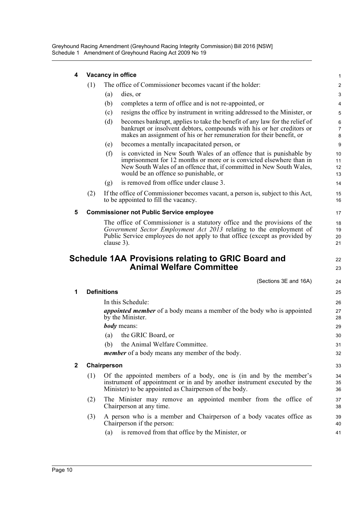Greyhound Racing Amendment (Greyhound Racing Integrity Commission) Bill 2016 [NSW] Schedule 1 Amendment of Greyhound Racing Act 2009 No 19

| 4            |     | Vacancy in office                                                                                                                                                                                                                                                   | 1                    |
|--------------|-----|---------------------------------------------------------------------------------------------------------------------------------------------------------------------------------------------------------------------------------------------------------------------|----------------------|
|              | (1) | The office of Commissioner becomes vacant if the holder:                                                                                                                                                                                                            | 2                    |
|              |     | (a)<br>dies, or                                                                                                                                                                                                                                                     | 3                    |
|              |     | completes a term of office and is not re-appointed, or<br>(b)                                                                                                                                                                                                       | 4                    |
|              |     | (c)<br>resigns the office by instrument in writing addressed to the Minister, or                                                                                                                                                                                    | 5                    |
|              |     | (d)<br>becomes bankrupt, applies to take the benefit of any law for the relief of<br>bankrupt or insolvent debtors, compounds with his or her creditors or<br>makes an assignment of his or her remuneration for their benefit, or                                  | 6<br>7<br>8          |
|              |     | becomes a mentally incapacitated person, or<br>(e)                                                                                                                                                                                                                  | 9                    |
|              |     | is convicted in New South Wales of an offence that is punishable by<br>(f)<br>imprisonment for 12 months or more or is convicted elsewhere than in<br>New South Wales of an offence that, if committed in New South Wales,<br>would be an offence so punishable, or | 10<br>11<br>12<br>13 |
|              |     | is removed from office under clause 3.<br>(g)                                                                                                                                                                                                                       | 14                   |
|              | (2) | If the office of Commissioner becomes vacant, a person is, subject to this Act,<br>to be appointed to fill the vacancy.                                                                                                                                             | 15<br>16             |
| 5            |     | <b>Commissioner not Public Service employee</b>                                                                                                                                                                                                                     | 17                   |
|              |     | The office of Commissioner is a statutory office and the provisions of the<br>Government Sector Employment Act 2013 relating to the employment of<br>Public Service employees do not apply to that office (except as provided by<br>clause 3).                      | 18<br>19<br>20<br>21 |
|              |     | <b>Schedule 1AA Provisions relating to GRIC Board and</b><br><b>Animal Welfare Committee</b>                                                                                                                                                                        | 22<br>23             |
|              |     | (Sections 3E and 16A)                                                                                                                                                                                                                                               | 24                   |
| 1            |     | <b>Definitions</b>                                                                                                                                                                                                                                                  | 25                   |
|              |     | In this Schedule:                                                                                                                                                                                                                                                   | 26                   |
|              |     | <i>appointed member</i> of a body means a member of the body who is appointed<br>by the Minister.<br><b><i>body</i></b> means:<br>the GRIC Board, or<br>(a)                                                                                                         | 27<br>28<br>29<br>30 |
|              |     | (b) the Animal Welfare Committee.                                                                                                                                                                                                                                   | 31                   |
|              |     | <i>member</i> of a body means any member of the body.                                                                                                                                                                                                               | 32                   |
| $\mathbf{2}$ |     | Chairperson                                                                                                                                                                                                                                                         | 33                   |
|              | (1) | Of the appointed members of a body, one is (in and by the member's<br>instrument of appointment or in and by another instrument executed by the<br>Minister) to be appointed as Chairperson of the body.                                                            | 34<br>35<br>36       |
|              | (2) | The Minister may remove an appointed member from the office of<br>Chairperson at any time.                                                                                                                                                                          | 37<br>38             |
|              | (3) | A person who is a member and Chairperson of a body vacates office as<br>Chairperson if the person:                                                                                                                                                                  | 39<br>40             |
|              |     | is removed from that office by the Minister, or<br>(a)                                                                                                                                                                                                              | 41                   |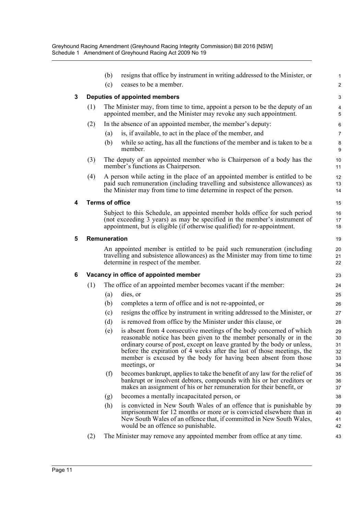|   |     | (b)<br>(c)             | resigns that office by instrument in writing addressed to the Minister, or<br>ceases to be a member.                                                                                                                                                                                                                                                                                | 1<br>$\overline{c}$              |
|---|-----|------------------------|-------------------------------------------------------------------------------------------------------------------------------------------------------------------------------------------------------------------------------------------------------------------------------------------------------------------------------------------------------------------------------------|----------------------------------|
| 3 |     |                        | Deputies of appointed members                                                                                                                                                                                                                                                                                                                                                       | 3                                |
|   | (1) |                        | The Minister may, from time to time, appoint a person to be the deputy of an<br>appointed member, and the Minister may revoke any such appointment.                                                                                                                                                                                                                                 | 4<br>5                           |
|   | (2) |                        | In the absence of an appointed member, the member's deputy:                                                                                                                                                                                                                                                                                                                         | 6                                |
|   |     | (a)                    | is, if available, to act in the place of the member, and                                                                                                                                                                                                                                                                                                                            | 7                                |
|   |     | (b)                    | while so acting, has all the functions of the member and is taken to be a<br>member.                                                                                                                                                                                                                                                                                                | 8<br>9                           |
|   | (3) |                        | The deputy of an appointed member who is Chairperson of a body has the<br>member's functions as Chairperson.                                                                                                                                                                                                                                                                        | 10<br>11                         |
|   | (4) |                        | A person while acting in the place of an appointed member is entitled to be<br>paid such remuneration (including travelling and subsistence allowances) as<br>the Minister may from time to time determine in respect of the person.                                                                                                                                                | 12<br>13<br>14                   |
| 4 |     | <b>Terms of office</b> |                                                                                                                                                                                                                                                                                                                                                                                     | 15                               |
|   |     |                        | Subject to this Schedule, an appointed member holds office for such period<br>(not exceeding 3 years) as may be specified in the member's instrument of<br>appointment, but is eligible (if otherwise qualified) for re-appointment.                                                                                                                                                | 16<br>17<br>18                   |
| 5 |     | Remuneration           |                                                                                                                                                                                                                                                                                                                                                                                     | 19                               |
|   |     |                        | An appointed member is entitled to be paid such remuneration (including<br>travelling and subsistence allowances) as the Minister may from time to time<br>determine in respect of the member.                                                                                                                                                                                      | 20<br>21<br>22                   |
| 6 |     |                        |                                                                                                                                                                                                                                                                                                                                                                                     |                                  |
|   |     |                        | Vacancy in office of appointed member                                                                                                                                                                                                                                                                                                                                               | 23                               |
|   | (1) |                        | The office of an appointed member becomes vacant if the member:                                                                                                                                                                                                                                                                                                                     | 24                               |
|   |     | (a)                    | dies, or                                                                                                                                                                                                                                                                                                                                                                            | 25                               |
|   |     | (b)                    | completes a term of office and is not re-appointed, or                                                                                                                                                                                                                                                                                                                              | 26                               |
|   |     | (c)                    | resigns the office by instrument in writing addressed to the Minister, or                                                                                                                                                                                                                                                                                                           | 27                               |
|   |     | (d)                    | is removed from office by the Minister under this clause, or                                                                                                                                                                                                                                                                                                                        | 28                               |
|   |     | (e)                    | is absent from 4 consecutive meetings of the body concerned of which<br>reasonable notice has been given to the member personally or in the<br>ordinary course of post, except on leave granted by the body or unless,<br>before the expiration of 4 weeks after the last of those meetings, the<br>member is excused by the body for having been absent from those<br>meetings, or | 29<br>30<br>31<br>32<br>33<br>34 |
|   |     | (f)                    | becomes bankrupt, applies to take the benefit of any law for the relief of<br>bankrupt or insolvent debtors, compounds with his or her creditors or<br>makes an assignment of his or her remuneration for their benefit, or                                                                                                                                                         | 35<br>36<br>37                   |
|   |     | (g)                    | becomes a mentally incapacitated person, or                                                                                                                                                                                                                                                                                                                                         | 38                               |
|   |     | (h)                    | is convicted in New South Wales of an offence that is punishable by<br>imprisonment for 12 months or more or is convicted elsewhere than in<br>New South Wales of an offence that, if committed in New South Wales,<br>would be an offence so punishable.                                                                                                                           | 39<br>40<br>41<br>42             |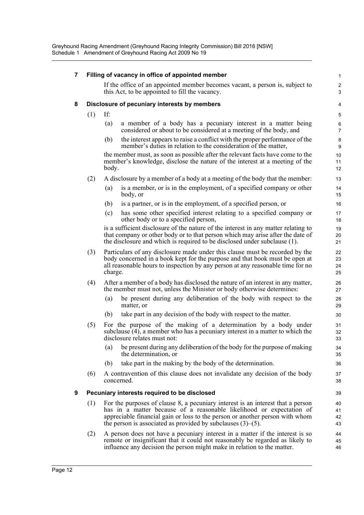| 7 | Filling of vacancy in office of appointed member |         |                                                                                                                                                                                                                                                                                                               |                                 |  |
|---|--------------------------------------------------|---------|---------------------------------------------------------------------------------------------------------------------------------------------------------------------------------------------------------------------------------------------------------------------------------------------------------------|---------------------------------|--|
|   |                                                  |         | If the office of an appointed member becomes vacant, a person is, subject to<br>this Act, to be appointed to fill the vacancy.                                                                                                                                                                                | $\boldsymbol{2}$<br>$\mathsf 3$ |  |
| 8 |                                                  |         | Disclosure of pecuniary interests by members                                                                                                                                                                                                                                                                  | 4                               |  |
|   | (1)                                              | If:     |                                                                                                                                                                                                                                                                                                               | 5                               |  |
|   |                                                  | (a)     | a member of a body has a pecuniary interest in a matter being<br>considered or about to be considered at a meeting of the body, and                                                                                                                                                                           | 6<br>$\overline{7}$             |  |
|   |                                                  | (b)     | the interest appears to raise a conflict with the proper performance of the<br>member's duties in relation to the consideration of the matter,                                                                                                                                                                | 8<br>9                          |  |
|   |                                                  | body.   | the member must, as soon as possible after the relevant facts have come to the<br>member's knowledge, disclose the nature of the interest at a meeting of the                                                                                                                                                 | 10<br>11<br>12                  |  |
|   | (2)                                              |         | A disclosure by a member of a body at a meeting of the body that the member:                                                                                                                                                                                                                                  | 13                              |  |
|   |                                                  | (a)     | is a member, or is in the employment, of a specified company or other<br>body, or                                                                                                                                                                                                                             | 14<br>15                        |  |
|   |                                                  | (b)     | is a partner, or is in the employment, of a specified person, or                                                                                                                                                                                                                                              | 16                              |  |
|   |                                                  | (c)     | has some other specified interest relating to a specified company or<br>other body or to a specified person,                                                                                                                                                                                                  | 17<br>18                        |  |
|   |                                                  |         | is a sufficient disclosure of the nature of the interest in any matter relating to<br>that company or other body or to that person which may arise after the date of<br>the disclosure and which is required to be disclosed under subclause (1).                                                             | 19<br>20<br>21                  |  |
|   | (3)                                              | charge. | Particulars of any disclosure made under this clause must be recorded by the<br>body concerned in a book kept for the purpose and that book must be open at<br>all reasonable hours to inspection by any person at any reasonable time for no                                                                 | 22<br>23<br>24<br>25            |  |
|   | (4)                                              |         | After a member of a body has disclosed the nature of an interest in any matter,<br>the member must not, unless the Minister or body otherwise determines:                                                                                                                                                     | 26<br>27                        |  |
|   |                                                  | (a)     | be present during any deliberation of the body with respect to the<br>matter, or                                                                                                                                                                                                                              | 28<br>29                        |  |
|   |                                                  | (b)     | take part in any decision of the body with respect to the matter.                                                                                                                                                                                                                                             | 30                              |  |
|   | (5)                                              |         | For the purpose of the making of a determination by a body under<br>subclause $(4)$ , a member who has a pecuniary interest in a matter to which the<br>disclosure relates must not:                                                                                                                          | 31<br>32<br>33                  |  |
|   |                                                  | (a)     | be present during any deliberation of the body for the purpose of making<br>the determination, or                                                                                                                                                                                                             | 34<br>35                        |  |
|   |                                                  | (b)     | take part in the making by the body of the determination.                                                                                                                                                                                                                                                     | 36                              |  |
|   | (6)                                              |         | A contravention of this clause does not invalidate any decision of the body<br>concerned.                                                                                                                                                                                                                     | 37<br>38                        |  |
| 9 |                                                  |         | Pecuniary interests required to be disclosed                                                                                                                                                                                                                                                                  | 39                              |  |
|   | (1)                                              |         | For the purposes of clause 8, a pecuniary interest is an interest that a person<br>has in a matter because of a reasonable likelihood or expectation of<br>appreciable financial gain or loss to the person or another person with whom<br>the person is associated as provided by subclauses $(3)$ – $(5)$ . | 40<br>41<br>42<br>43            |  |
|   | (2)                                              |         | A person does not have a pecuniary interest in a matter if the interest is so<br>remote or insignificant that it could not reasonably be regarded as likely to<br>influence any decision the person might make in relation to the matter.                                                                     | 44<br>45<br>46                  |  |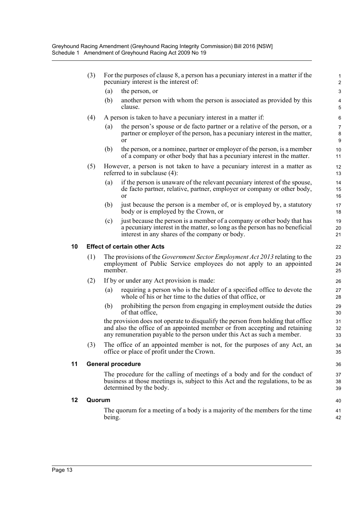|    | (3)    |                                                                                                             | For the purposes of clause 8, a person has a pecuniary interest in a matter if the<br>pecuniary interest is the interest of:                                                                                                              | $\mathbf{1}$<br>$\overline{2}$          |  |  |
|----|--------|-------------------------------------------------------------------------------------------------------------|-------------------------------------------------------------------------------------------------------------------------------------------------------------------------------------------------------------------------------------------|-----------------------------------------|--|--|
|    |        | (a)                                                                                                         | the person, or                                                                                                                                                                                                                            | 3                                       |  |  |
|    |        | (b)                                                                                                         | another person with whom the person is associated as provided by this<br>clause.                                                                                                                                                          | $\overline{\mathbf{4}}$<br>5            |  |  |
|    | (4)    |                                                                                                             | A person is taken to have a pecuniary interest in a matter if:                                                                                                                                                                            | 6                                       |  |  |
|    |        | (a)                                                                                                         | the person's spouse or de facto partner or a relative of the person, or a<br>partner or employer of the person, has a pecuniary interest in the matter,<br><sub>or</sub>                                                                  | $\overline{7}$<br>8<br>$\boldsymbol{9}$ |  |  |
|    |        | (b)                                                                                                         | the person, or a nominee, partner or employer of the person, is a member<br>of a company or other body that has a pecuniary interest in the matter.                                                                                       | 10<br>11                                |  |  |
|    | (5)    | However, a person is not taken to have a pecuniary interest in a matter as<br>referred to in subclause (4): |                                                                                                                                                                                                                                           |                                         |  |  |
|    |        | (a)                                                                                                         | if the person is unaware of the relevant pecuniary interest of the spouse,<br>de facto partner, relative, partner, employer or company or other body,<br>or                                                                               | 14<br>15<br>16                          |  |  |
|    |        | (b)                                                                                                         | just because the person is a member of, or is employed by, a statutory<br>body or is employed by the Crown, or                                                                                                                            | 17<br>18                                |  |  |
|    |        | (c)                                                                                                         | just because the person is a member of a company or other body that has<br>a pecuniary interest in the matter, so long as the person has no beneficial<br>interest in any shares of the company or body.                                  | 19<br>20<br>21                          |  |  |
| 10 |        |                                                                                                             | <b>Effect of certain other Acts</b>                                                                                                                                                                                                       | 22                                      |  |  |
|    | (1)    | member.                                                                                                     | The provisions of the <i>Government Sector Employment Act 2013</i> relating to the<br>employment of Public Service employees do not apply to an appointed                                                                                 | 23<br>24<br>25                          |  |  |
|    | (2)    |                                                                                                             | If by or under any Act provision is made:                                                                                                                                                                                                 | 26                                      |  |  |
|    |        | (a)                                                                                                         | requiring a person who is the holder of a specified office to devote the<br>whole of his or her time to the duties of that office, or                                                                                                     | 27<br>28                                |  |  |
|    |        | (b)                                                                                                         | prohibiting the person from engaging in employment outside the duties<br>of that office,                                                                                                                                                  | 29<br>30                                |  |  |
|    |        |                                                                                                             | the provision does not operate to disqualify the person from holding that office<br>and also the office of an appointed member or from accepting and retaining<br>any remuneration payable to the person under this Act as such a member. | 31<br>32<br>33                          |  |  |
|    | (3)    |                                                                                                             | The office of an appointed member is not, for the purposes of any Act, an<br>office or place of profit under the Crown.                                                                                                                   | 34<br>35                                |  |  |
| 11 |        |                                                                                                             | <b>General procedure</b>                                                                                                                                                                                                                  | 36                                      |  |  |
|    |        |                                                                                                             | The procedure for the calling of meetings of a body and for the conduct of<br>business at those meetings is, subject to this Act and the regulations, to be as<br>determined by the body.                                                 | 37<br>38<br>39                          |  |  |
| 12 | Quorum |                                                                                                             |                                                                                                                                                                                                                                           |                                         |  |  |
|    |        | being.                                                                                                      | The quorum for a meeting of a body is a majority of the members for the time                                                                                                                                                              | 41<br>42                                |  |  |

**11 General procedure**

**12**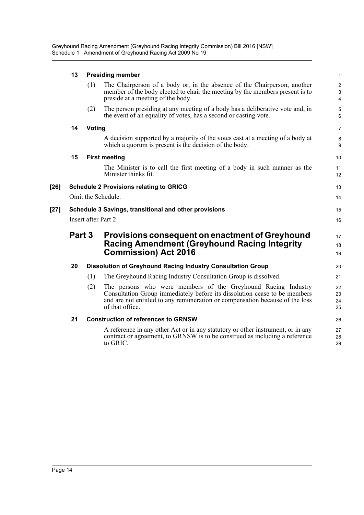Greyhound Racing Amendment (Greyhound Racing Integrity Commission) Bill 2016 [NSW] Schedule 1 Amendment of Greyhound Racing Act 2009 No 19

|        | 13                                                        | <b>Presiding member</b> |                                                                                                                                                                                                                                               |                                                  |  |  |
|--------|-----------------------------------------------------------|-------------------------|-----------------------------------------------------------------------------------------------------------------------------------------------------------------------------------------------------------------------------------------------|--------------------------------------------------|--|--|
|        |                                                           | (1)                     | The Chairperson of a body or, in the absence of the Chairperson, another<br>member of the body elected to chair the meeting by the members present is to<br>preside at a meeting of the body.                                                 | $\overline{2}$<br>$\mathbf{3}$<br>$\overline{4}$ |  |  |
|        |                                                           | (2)                     | The person presiding at any meeting of a body has a deliberative vote and, in<br>the event of an equality of votes, has a second or casting vote.                                                                                             | 5<br>6                                           |  |  |
|        | 14                                                        | <b>Voting</b>           |                                                                                                                                                                                                                                               | $\overline{7}$                                   |  |  |
|        |                                                           |                         | A decision supported by a majority of the votes cast at a meeting of a body at<br>which a quorum is present is the decision of the body.                                                                                                      | 8<br>9                                           |  |  |
|        | 15                                                        |                         | <b>First meeting</b>                                                                                                                                                                                                                          | 10                                               |  |  |
|        |                                                           |                         | The Minister is to call the first meeting of a body in such manner as the<br>Minister thinks fit.                                                                                                                                             | 11<br>12                                         |  |  |
| [26]   |                                                           |                         | <b>Schedule 2 Provisions relating to GRICG</b>                                                                                                                                                                                                | 13                                               |  |  |
|        |                                                           |                         | Omit the Schedule.                                                                                                                                                                                                                            | 14                                               |  |  |
| $[27]$ |                                                           |                         | Schedule 3 Savings, transitional and other provisions                                                                                                                                                                                         | 15                                               |  |  |
|        | Insert after Part 2:                                      |                         |                                                                                                                                                                                                                                               |                                                  |  |  |
|        | Part 3<br>Provisions consequent on enactment of Greyhound |                         | 17                                                                                                                                                                                                                                            |                                                  |  |  |
|        |                                                           |                         | <b>Racing Amendment (Greyhound Racing Integrity</b>                                                                                                                                                                                           | 18                                               |  |  |
|        |                                                           |                         | <b>Commission) Act 2016</b>                                                                                                                                                                                                                   | 19                                               |  |  |
|        | 20                                                        |                         | <b>Dissolution of Greyhound Racing Industry Consultation Group</b>                                                                                                                                                                            | 20                                               |  |  |
|        |                                                           | (1)                     | The Greyhound Racing Industry Consultation Group is dissolved.                                                                                                                                                                                | 21                                               |  |  |
|        |                                                           | (2)                     | The persons who were members of the Greyhound Racing Industry<br>Consultation Group immediately before its dissolution cease to be members<br>and are not entitled to any remuneration or compensation because of the loss<br>of that office. | 22<br>23<br>24<br>25                             |  |  |
|        | 21                                                        |                         | <b>Construction of references to GRNSW</b>                                                                                                                                                                                                    | 26                                               |  |  |
|        |                                                           |                         | A reference in any other Act or in any statutory or other instrument, or in any<br>contract or agreement, to GRNSW is to be construed as including a reference<br>to GRIC.                                                                    | 27<br>28<br>29                                   |  |  |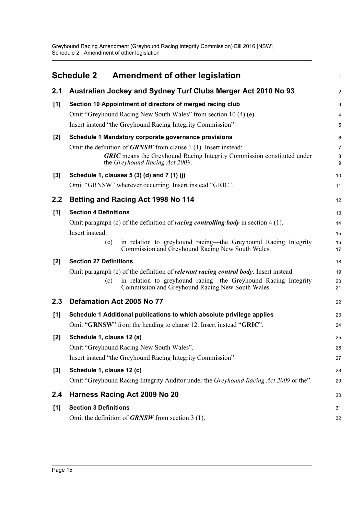Greyhound Racing Amendment (Greyhound Racing Integrity Commission) Bill 2016 [NSW] Schedule 2 Amendment of other legislation

<span id="page-17-0"></span>

|       | <b>Schedule 2</b><br><b>Amendment of other legislation</b>                                                                                                                                                                                   | 1                    |
|-------|----------------------------------------------------------------------------------------------------------------------------------------------------------------------------------------------------------------------------------------------|----------------------|
| 2.1   | Australian Jockey and Sydney Turf Clubs Merger Act 2010 No 93                                                                                                                                                                                | $\overline{c}$       |
| [1]   | Section 10 Appointment of directors of merged racing club<br>Omit "Greyhound Racing New South Wales" from section 10 (4) (e).<br>Insert instead "the Greyhound Racing Integrity Commission".                                                 | 3<br>4<br>5          |
| $[2]$ | Schedule 1 Mandatory corporate governance provisions<br>Omit the definition of $GRNSW$ from clause 1 (1). Insert instead:<br><b>GRIC</b> means the Greyhound Racing Integrity Commission constituted under<br>the Greyhound Racing Act 2009. | 6<br>7<br>8<br>9     |
| $[3]$ | Schedule 1, clauses 5 (3) (d) and 7 (1) (j)                                                                                                                                                                                                  | 10                   |
|       | Omit "GRNSW" wherever occurring. Insert instead "GRIC".                                                                                                                                                                                      | 11                   |
| 2.2   | <b>Betting and Racing Act 1998 No 114</b>                                                                                                                                                                                                    | 12                   |
| [1]   | <b>Section 4 Definitions</b>                                                                                                                                                                                                                 | 13                   |
|       | Omit paragraph (c) of the definition of <i>racing controlling body</i> in section $4(1)$ .<br>Insert instead:<br>in relation to greyhound racing—the Greyhound Racing Integrity<br>(c)<br>Commission and Greyhound Racing New South Wales.   | 14<br>15<br>16<br>17 |
| $[2]$ | <b>Section 27 Definitions</b>                                                                                                                                                                                                                | 18                   |
|       | Omit paragraph (c) of the definition of <i>relevant racing control body</i> . Insert instead:<br>in relation to greyhound racing—the Greyhound Racing Integrity<br>(c)<br>Commission and Greyhound Racing New South Wales.                   | 19<br>20<br>21       |
| 2.3   | Defamation Act 2005 No 77                                                                                                                                                                                                                    | 22                   |
| [1]   | Schedule 1 Additional publications to which absolute privilege applies                                                                                                                                                                       | 23                   |
|       | Omit "GRNSW" from the heading to clause 12. Insert instead "GRIC".                                                                                                                                                                           | 24                   |
| $[2]$ | Schedule 1, clause 12 (a)                                                                                                                                                                                                                    | 25                   |
|       | Omit "Greyhound Racing New South Wales".                                                                                                                                                                                                     | 26                   |
|       | Insert instead "the Greyhound Racing Integrity Commission".                                                                                                                                                                                  | 27                   |
| $[3]$ | Schedule 1, clause 12 (c)<br>Omit "Greyhound Racing Integrity Auditor under the Greyhound Racing Act 2009 or the".                                                                                                                           | 28<br>29             |
| 2.4   | Harness Racing Act 2009 No 20                                                                                                                                                                                                                | 30                   |
| [1]   | <b>Section 3 Definitions</b>                                                                                                                                                                                                                 | 31                   |
|       | Omit the definition of <b>GRNSW</b> from section 3 (1).                                                                                                                                                                                      | 32                   |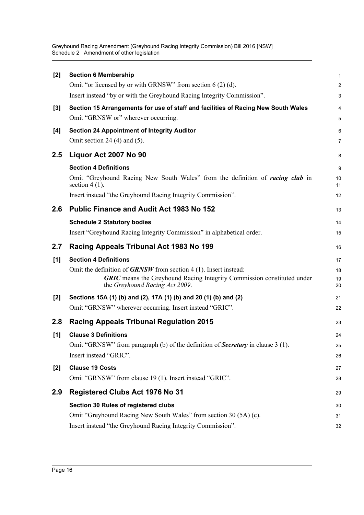Greyhound Racing Amendment (Greyhound Racing Integrity Commission) Bill 2016 [NSW] Schedule 2 Amendment of other legislation

| <b>Section 6 Membership</b>                                                                                                                                                           | 1                                                                                                                                      |
|---------------------------------------------------------------------------------------------------------------------------------------------------------------------------------------|----------------------------------------------------------------------------------------------------------------------------------------|
|                                                                                                                                                                                       | $\overline{2}$                                                                                                                         |
|                                                                                                                                                                                       | 3                                                                                                                                      |
| Section 15 Arrangements for use of staff and facilities of Racing New South Wales                                                                                                     | 4                                                                                                                                      |
| Omit "GRNSW or" wherever occurring.                                                                                                                                                   | 5                                                                                                                                      |
| <b>Section 24 Appointment of Integrity Auditor</b>                                                                                                                                    | 6                                                                                                                                      |
| Omit section 24 $(4)$ and $(5)$ .                                                                                                                                                     | 7                                                                                                                                      |
| Liquor Act 2007 No 90                                                                                                                                                                 | 8                                                                                                                                      |
| <b>Section 4 Definitions</b>                                                                                                                                                          | 9                                                                                                                                      |
| Omit "Greyhound Racing New South Wales" from the definition of racing club in<br>section 4 $(1)$ .                                                                                    | 10<br>11                                                                                                                               |
| Insert instead "the Greyhound Racing Integrity Commission".                                                                                                                           | 12                                                                                                                                     |
| <b>Public Finance and Audit Act 1983 No 152</b>                                                                                                                                       | 13                                                                                                                                     |
| <b>Schedule 2 Statutory bodies</b>                                                                                                                                                    | 14                                                                                                                                     |
| Insert "Greyhound Racing Integrity Commission" in alphabetical order.                                                                                                                 | 15                                                                                                                                     |
| Racing Appeals Tribunal Act 1983 No 199                                                                                                                                               | 16                                                                                                                                     |
| <b>Section 4 Definitions</b>                                                                                                                                                          | 17                                                                                                                                     |
| Omit the definition of $GRNSW$ from section 4 (1). Insert instead:<br><b>GRIC</b> means the Greyhound Racing Integrity Commission constituted under<br>the Greyhound Racing Act 2009. | 18<br>19<br>20                                                                                                                         |
| Sections 15A (1) (b) and (2), 17A (1) (b) and 20 (1) (b) and (2)                                                                                                                      | 21                                                                                                                                     |
| Omit "GRNSW" wherever occurring. Insert instead "GRIC".                                                                                                                               | 22                                                                                                                                     |
| <b>Racing Appeals Tribunal Regulation 2015</b>                                                                                                                                        | 23                                                                                                                                     |
| <b>Clause 3 Definitions</b>                                                                                                                                                           | 24                                                                                                                                     |
| Omit "GRNSW" from paragraph (b) of the definition of <b>Secretary</b> in clause 3 (1).                                                                                                | 25                                                                                                                                     |
| Insert instead "GRIC".                                                                                                                                                                | 26                                                                                                                                     |
| <b>Clause 19 Costs</b>                                                                                                                                                                | 27                                                                                                                                     |
| Omit "GRNSW" from clause 19 (1). Insert instead "GRIC".                                                                                                                               | 28                                                                                                                                     |
| <b>Registered Clubs Act 1976 No 31</b>                                                                                                                                                | 29                                                                                                                                     |
| Section 30 Rules of registered clubs                                                                                                                                                  | 30                                                                                                                                     |
| Omit "Greyhound Racing New South Wales" from section 30 (5A) (c).                                                                                                                     | 31                                                                                                                                     |
| Insert instead "the Greyhound Racing Integrity Commission".                                                                                                                           | 32                                                                                                                                     |
|                                                                                                                                                                                       | Omit "or licensed by or with GRNSW" from section $6(2)(d)$ .<br>Insert instead "by or with the Greyhound Racing Integrity Commission". |